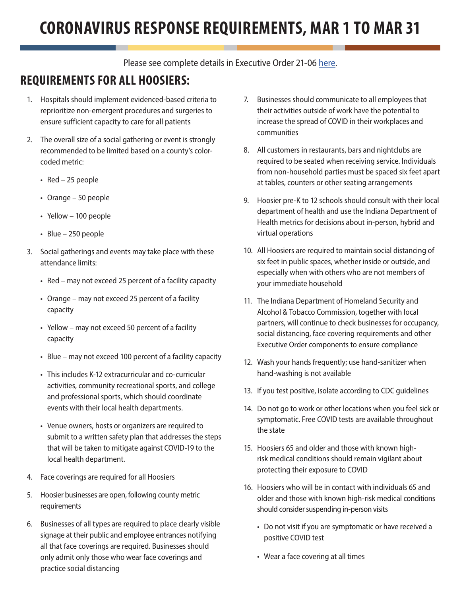## **CORONAVIRUS RESPONSE REQUIREMENTS, MAR 1 TO MAR 31**

Please see complete details in Executive Order 21-06 [here](https://www.in.gov/gov/governor-holcomb/newsroom/executive-orders/).

## **REQUIREMENTS FOR ALL HOOSIERS:**

- 1. Hospitals should implement evidenced-based criteria to reprioritize non-emergent procedures and surgeries to ensure sufficient capacity to care for all patients
- 2. The overall size of a social gathering or event is strongly recommended to be limited based on a county's colorcoded metric:
	- Red 25 people
	- Orange 50 people
	- Yellow 100 people
	- Blue 250 people
- 3. Social gatherings and events may take place with these attendance limits:
	- Red may not exceed 25 percent of a facility capacity
	- Orange may not exceed 25 percent of a facility capacity
	- Yellow may not exceed 50 percent of a facility capacity
	- Blue may not exceed 100 percent of a facility capacity
	- This includes K-12 extracurricular and co-curricular activities, community recreational sports, and college and professional sports, which should coordinate events with their local health departments.
	- Venue owners, hosts or organizers are required to submit to a written safety plan that addresses the steps that will be taken to mitigate against COVID-19 to the local health department.
- 4. Face coverings are required for all Hoosiers
- 5. Hoosier businesses are open, following county metric requirements
- 6. Businesses of all types are required to place clearly visible signage at their public and employee entrances notifying all that face coverings are required. Businesses should only admit only those who wear face coverings and practice social distancing
- 7. Businesses should communicate to all employees that their activities outside of work have the potential to increase the spread of COVID in their workplaces and communities
- 8. All customers in restaurants, bars and nightclubs are required to be seated when receiving service. Individuals from non-household parties must be spaced six feet apart at tables, counters or other seating arrangements
- 9. Hoosier pre-K to 12 schools should consult with their local department of health and use the Indiana Department of Health metrics for decisions about in-person, hybrid and virtual operations
- 10. All Hoosiers are required to maintain social distancing of six feet in public spaces, whether inside or outside, and especially when with others who are not members of your immediate household
- 11. The Indiana Department of Homeland Security and Alcohol & Tobacco Commission, together with local partners, will continue to check businesses for occupancy, social distancing, face covering requirements and other Executive Order components to ensure compliance
- 12. Wash your hands frequently; use hand-sanitizer when hand-washing is not available
- 13. If you test positive, isolate according to CDC guidelines
- 14. Do not go to work or other locations when you feel sick or symptomatic. Free COVID tests are available throughout the state
- 15. Hoosiers 65 and older and those with known highrisk medical conditions should remain vigilant about protecting their exposure to COVID
- 16. Hoosiers who will be in contact with individuals 65 and older and those with known high-risk medical conditions should consider suspending in-person visits
	- Do not visit if you are symptomatic or have received a positive COVID test
	- Wear a face covering at all times